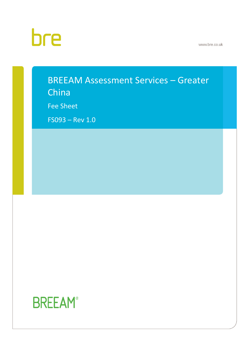# bre

www.bre.co.uk

# • BREEAM Assessment Services – Greater

China

Fee Sheet

 $F$ SO93 – Rev 1.0

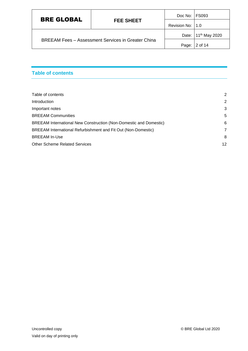|                   | <b>FEE SHEET</b>                                          | Doc No:   FS093   |                                 |
|-------------------|-----------------------------------------------------------|-------------------|---------------------------------|
| <b>BRE GLOBAL</b> |                                                           | Revision No: 11.0 |                                 |
|                   |                                                           |                   | Date: 11 <sup>th</sup> May 2020 |
|                   | <b>BREEAM Fees - Assessment Services in Greater China</b> |                   | Page: 2 of 14                   |

# <span id="page-1-0"></span>**Table of contents**

| Table of contents                                                 | 2              |
|-------------------------------------------------------------------|----------------|
| Introduction                                                      | $\overline{2}$ |
| Important notes                                                   | 3              |
| <b>BREEAM Communities</b>                                         | 5              |
| BREEAM International New Construction (Non-Domestic and Domestic) | 6              |
| BREEAM International Refurbishment and Fit Out (Non-Domestic)     | 7              |
| <b>BREEAM In-Use</b>                                              | 8              |
| <b>Other Scheme Related Services</b>                              | 12             |
|                                                                   |                |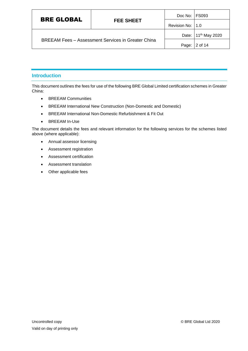|                   | <b>FEE SHEET</b>                                          | Doc No: FS093                   |         |
|-------------------|-----------------------------------------------------------|---------------------------------|---------|
| <b>BRE GLOBAL</b> |                                                           | Revision No:   1.0              |         |
|                   |                                                           | Date: 11 <sup>th</sup> May 2020 |         |
|                   | <b>BREEAM Fees - Assessment Services in Greater China</b> | Page:                           | 2 of 14 |

# <span id="page-2-0"></span>**Introduction**

This document outlines the fees for use of the following BRE Global Limited certification schemes in Greater China:

- BREEAM Communities
- BREEAM International New Construction (Non-Domestic and Domestic)
- BREEAM International Non-Domestic Refurbishment & Fit Out
- BREEAM In-Use

The document details the fees and relevant information for the following services for the schemes listed above (where applicable):

- Annual assessor licensing
- Assessment registration
- Assessment certification
- Assessment translation
- Other applicable fees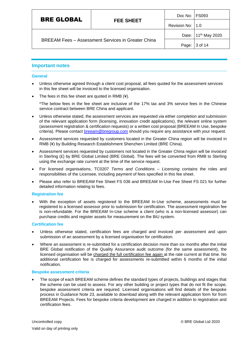| <b>BRE GLOBAL</b><br><b>FEE SHEET</b>                     | Doc No: FS093      |                                 |
|-----------------------------------------------------------|--------------------|---------------------------------|
|                                                           | Revision No:   1.0 |                                 |
|                                                           |                    | Date: 11 <sup>th</sup> May 2020 |
| <b>BREEAM Fees - Assessment Services in Greater China</b> | Page:              | 3 of 14                         |

# <span id="page-3-0"></span>**Important notes**

#### **General**

- Unless otherwise agreed through a client cost proposal, all fees quoted for the assessment services in this fee sheet will be invoiced to the licensed organisation.
- The fees in this fee sheet are quoted in RMB (¥).

\*The below fees in the fee sheet are inclusive of the 17% tax and 3% service fees in the Chinese service contract between BRE China and applicant.

- Unless otherwise stated, the assessment services are requested via either completion and submission of the relevant application form (licensing, innovation credit applications), the relevant online system (assessment registration & certification requests) or a written cost proposal (BREEAM In Use, bespoke criteria). Please contact [breeam@bregroup.com](mailto:breeam@bregroup.com) should you require any assistance with your request.
- Assessment services requested by customers located in the Greater China region will be invoiced in RMB (¥) by Building Research Establishment Shenzhen Limited (BRE China).
- Assessment services requested by customers not located in the Greater China region will be invoiced in Sterling (£) by BRE Global Limited (BRE Global). The fees will be converted from RMB to Sterling using the exchange rate current at the time of the service request.
- For licensed organisations, TC0207 *Terms and Conditions – Licensing* contains the roles and responsibilities of the Licensee, including payment of fees specified in this fee sheet.
- Please also refer to BREEAM Fee Sheet FS 036 and BREEAM In-Use Fee Sheet FS 021 for further detailed information relating to fees.

#### **Registration fee**

• With the exception of assets registered to the BREEAM In-Use scheme, assessments must be registered to a licensed assessor prior to submission for certification. The assessment registration fee is non-refundable. For the BREEAM In-Use scheme a client (who is a non-licensed assessor) can purchase credits and register assets for measurement on the BiU system.

#### **Certification fee**

- Unless otherwise stated, certification fees are charged and invoiced per assessment and upon submission of an assessment by a licensed organisation for certification.
- Where an assessment is re-submitted for a certification decision more than six months after the initial BRE Global notification of the Quality Assurance audit outcome (for the same assessment), the licensed organisation will be charged the full certification fee again at the rate current at that time. No additional certification fee is charged for assessments re-submitted within 6 months of the initial notification.

#### **Bespoke assessment criteria**

• The scope of each BREEAM scheme defines the standard types of projects, buildings and stages that the scheme can be used to assess. For any other building or project types that do not fit the scope, bespoke assessment criteria are required. Licensed organisations will find details of the bespoke process in Guidance Note 23, available to download along with the relevant application form for from BREEAM Projects. Fees for bespoke criteria development are charged in addition to registration and certification fees.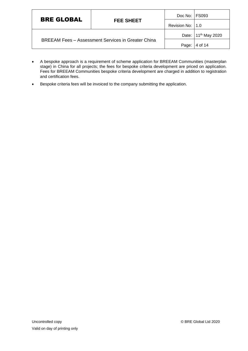| <b>BRE GLOBAL</b> | <b>FEE SHEET</b>                                          | Doc No: FS093                   |         |
|-------------------|-----------------------------------------------------------|---------------------------------|---------|
|                   |                                                           | Revision No:   1.0              |         |
|                   |                                                           | Date: 11 <sup>th</sup> May 2020 |         |
|                   | <b>BREEAM Fees - Assessment Services in Greater China</b> | Page:                           | 4 of 14 |

- A bespoke approach is a requirement of scheme application for BREEAM Communities (masterplan stage) in China for all projects; the fees for bespoke criteria development are priced on application. Fees for BREEAM Communities bespoke criteria development are charged in addition to registration and certification fees.
- Bespoke criteria fees will be invoiced to the company submitting the application.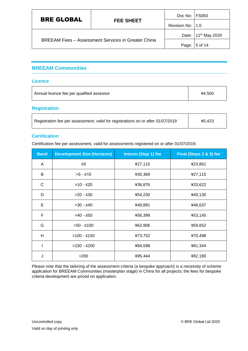| <b>BRE GLOBAL</b>                                         | <b>FEE SHEET</b> | Doc No: FS093                   |         |
|-----------------------------------------------------------|------------------|---------------------------------|---------|
|                                                           |                  | Revision No:   1.0              |         |
|                                                           |                  | Date: 11 <sup>th</sup> May 2020 |         |
| <b>BREEAM Fees - Assessment Services in Greater China</b> |                  | Page:                           | 5 of 14 |

# <span id="page-5-0"></span>**BREEAM Communities**

#### **Licence**

| Annual licence fee per qualified assessor | ¥4.500 |
|-------------------------------------------|--------|
|                                           |        |

# **Registration**

| Registration fee per assessment, valid for registrations on or after 01/07/2019 | ¥5.423 |
|---------------------------------------------------------------------------------|--------|
|                                                                                 |        |

# **Certification**

Certification fee per assessment, valid for assessments registered on or after 01/07/2019.

| <b>Band</b> | <b>Development Size (Hectares)</b> | Interim (Step 1) fee | Final (Steps 2 & 3) fee |
|-------------|------------------------------------|----------------------|-------------------------|
| A           | $\leq 5$                           | ¥27,115              | ¥23,861                 |
| B           | $>5 - 10$                          | ¥30,369              | ¥27,115                 |
| C           | $>10 - 520$                        | ¥36,876              | ¥33,622                 |
| D           | $>20$ - ≤30                        | ¥54,230              | ¥40,130                 |
| Е           | $>30 - 40$                         | ¥49,891              | ¥46,637                 |
| F           | >40 - ≤50                          | ¥56,399              | ¥53,145                 |
| G           | $>50 - 100$                        | ¥62,906              | ¥59,652                 |
| Н           | $>100 - 150$                       | ¥73,752              | ¥70,498                 |
|             | >150 - ≤200                        | ¥84,598              | ¥81,344                 |
| J           | >200                               | ¥95,444              | ¥92,190                 |

Please note that the tailoring of the assessment criteria (a bespoke approach) is a necessity of scheme application for BREEAM Communities (masterplan stage) in China for all projects; the fees for bespoke criteria development are priced on application.

 $\overline{\mathsf{I}}$ 

Τ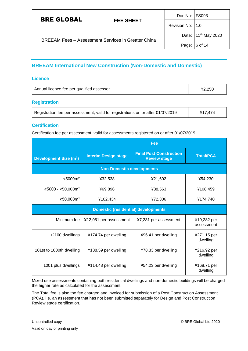|                   | <b>FEE SHEET</b>                                          | Doc No: FS093                   |         |
|-------------------|-----------------------------------------------------------|---------------------------------|---------|
| <b>BRE GLOBAL</b> |                                                           | Revision No: 11.0               |         |
|                   |                                                           | Date: 11 <sup>th</sup> May 2020 |         |
|                   | <b>BREEAM Fees - Assessment Services in Greater China</b> | Page:                           | 6 of 14 |

# <span id="page-6-0"></span>**BREEAM International New Construction (Non-Domestic and Domestic)**

#### **Licence**

| Annual licence fee per qualified assessor | ¥2.250 |
|-------------------------------------------|--------|
|-------------------------------------------|--------|

# **Registration**

| Registration fee per assessment, valid for registrations on or after 01/07/2019 | ¥17,474 |
|---------------------------------------------------------------------------------|---------|
|---------------------------------------------------------------------------------|---------|

# **Certification**

Certification fee per assessment, valid for assessments registered on or after 01/07/2019

|                                         | Fee                                        |                                                       |                           |  |
|-----------------------------------------|--------------------------------------------|-------------------------------------------------------|---------------------------|--|
| <b>Development Size (m<sup>2</sup>)</b> | <b>Interim Design stage</b>                | <b>Final Post Construction</b><br><b>Review stage</b> | <b>Total/PCA</b>          |  |
|                                         | <b>Non-Domestic developments</b>           |                                                       |                           |  |
| < 5000 m <sup>2</sup>                   | ¥32,538                                    | ¥21,692                                               | ¥54,230                   |  |
| $≥$ 5000 - <50,000m <sup>2</sup>        | ¥69,896                                    | ¥38,563                                               | ¥108,459                  |  |
| ≥50,000m <sup>2</sup>                   | ¥102,434                                   | ¥72,306                                               | ¥174,740                  |  |
|                                         | <b>Domestic (residential) developments</b> |                                                       |                           |  |
| Minimum fee                             | ¥12,051 per assessment                     | ¥7,231 per assessment                                 | ¥19,282 per<br>assessment |  |
| $\leq$ 100 dwellings                    | ¥174.74 per dwelling                       | ¥96.41 per dwelling                                   | ¥271.15 per<br>dwelling   |  |
| 101st to 1000th dwelling                | ¥138.59 per dwelling                       | ¥78.33 per dwelling                                   | ¥216.92 per<br>dwelling   |  |
| 1001 plus dwellings                     | ¥114.48 per dwelling                       | ¥54.23 per dwelling                                   | ¥168.71 per<br>dwelling   |  |

Mixed use assessments containing both residential dwellings and non-domestic buildings will be charged the higher rate as calculated for the assessment.

The Total fee is also the fee charged and invoiced for submission of a Post Construction Assessment (PCA), i.e. an assessment that has not been submitted separately for Design and Post Construction Review stage certification.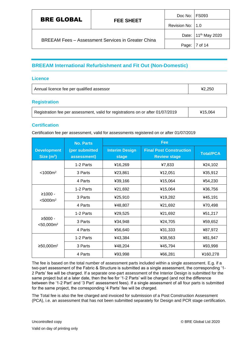| <b>BRE GLOBAL</b>                                         |                    | Doc No: FS093 |                                 |
|-----------------------------------------------------------|--------------------|---------------|---------------------------------|
| <b>FEE SHEET</b>                                          | Revision No:   1.0 |               |                                 |
| <b>BREEAM Fees - Assessment Services in Greater China</b> |                    |               | Date: 11 <sup>th</sup> May 2020 |
|                                                           |                    | Page:         | 7 of 14                         |

# <span id="page-7-0"></span>**BREEAM International Refurbishment and Fit Out (Non-Domestic)**

#### **Licence**

| Annual licence fee per qualified assessor | ¥2.250 |
|-------------------------------------------|--------|
|                                           |        |

# **Registration**

| Registration fee per assessment, valid for registrations on or after 01/07/2019 | ¥15,064 |
|---------------------------------------------------------------------------------|---------|
|---------------------------------------------------------------------------------|---------|

# **Certification**

Certification fee per assessment, valid for assessments registered on or after 01/07/2019

|                                       | Fee<br><b>No. Parts</b>       |                                |                                                       |                  |
|---------------------------------------|-------------------------------|--------------------------------|-------------------------------------------------------|------------------|
| <b>Development</b><br>Size $(m^2)$    | (per submitted<br>assessment) | <b>Interim Design</b><br>stage | <b>Final Post Construction</b><br><b>Review stage</b> | <b>Total/PCA</b> |
|                                       | 1-2 Parts                     | ¥16,269                        | ¥7,833                                                | ¥24,102          |
| < 1000 m <sup>2</sup>                 | 3 Parts                       | ¥23,861                        | ¥12,051                                               | ¥35,912          |
|                                       | 4 Parts                       | ¥39,166                        | ¥15,064                                               | ¥54,230          |
|                                       | 1-2 Parts                     | ¥21,692                        | ¥15,064                                               | ¥36,756          |
| $≥1000 -$<br>< 5000 m <sup>2</sup>    | 3 Parts                       | ¥25,910                        | ¥19,282                                               | ¥45,191          |
|                                       | 4 Parts                       | ¥48,807                        | ¥21,692                                               | ¥70,498          |
|                                       | 1-2 Parts                     | ¥29,525                        | ¥21,692                                               | ¥51,217          |
| $≥5000 -$<br>$<$ 50,000m <sup>2</sup> | 3 Parts                       | ¥34,948                        | ¥24,705                                               | ¥59,652          |
|                                       | 4 Parts                       | ¥56,640                        | ¥31,333                                               | ¥87,972          |
| ≥50,000m <sup>2</sup>                 | 1-2 Parts                     | ¥43,384                        | ¥38,563                                               | ¥81,947          |
|                                       | 3 Parts                       | ¥48,204                        | ¥45,794                                               | ¥93,998          |
|                                       | 4 Parts                       | ¥93,998                        | ¥66,281                                               | ¥160,278         |

The fee is based on the total number of assessment parts included within a single assessment. E.g. if a two-part assessment of the Fabric & Structure is submitted as a single assessment, the corresponding '1- 2 Parts' fee will be charged. If a separate one-part assessment of the Interior Design is submitted for the same project but at a later date, then the fee for '1-2 Parts' will be charged (and not the difference between the '1-2 Part' and '3 Part' assessment fees). If a single assessment of all four parts is submitted for the same project, the corresponding '4 Parts' fee will be charged.

The Total fee is also the fee charged and invoiced for submission of a Post Construction Assessment (PCA), i.e. an assessment that has not been submitted separately for Design and PCR stage certification.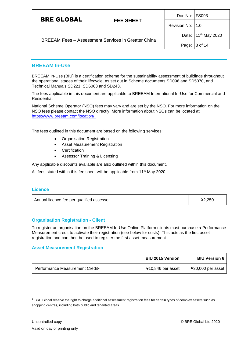| <b>BRE GLOBAL</b>                                         | <b>FEE SHEET</b> | Doc No: FS093    |                                 |
|-----------------------------------------------------------|------------------|------------------|---------------------------------|
|                                                           |                  | Revision No: 1.0 |                                 |
| <b>BREEAM Fees - Assessment Services in Greater China</b> |                  |                  | Date: 11 <sup>th</sup> May 2020 |
|                                                           |                  | Page:            | 8 of 14                         |

# <span id="page-8-0"></span>**BREEAM In-Use**

BREEAM In-Use (BIU) is a certification scheme for the sustainability assessment of buildings throughout the operational stages of their lifecycle, as set out in Scheme documents SD096 and SD5070, and Technical Manuals SD221, SD6063 and SD243.

The fees applicable in this document are applicable to BREEAM International In-Use for Commercial and Residential.

National Scheme Operator (NSO) fees may vary and are set by the NSO. For more information on the NSO fees please contact the NSO directly. More information about NSOs can be located at [https://www.breeam.com/location/.](https://www.breeam.com/location/)

The fees outlined in this document are based on the following services:

- Organisation Registration
- Asset Measurement Registration
- **Certification**
- Assessor Training & Licensing

Any applicable discounts available are also outlined within this document.

All fees stated within this fee sheet will be applicable from 11<sup>th</sup> May 2020

#### **Licence**

| Annual licence fee per qualified assessor | ¥2.250 |
|-------------------------------------------|--------|
|-------------------------------------------|--------|

#### **Organisation Registration - Client**

To register an organisation on the BREEAM In-Use Online Platform clients must purchase a Performance Measurement credit to activate their registration (see below for costs). This acts as the first asset registration and can then be used to register the first asset measurement.

#### **Asset Measurement Registration**

|                                             | <b>BIU 2015 Version</b> | <b>BIU Version 6</b> |
|---------------------------------------------|-------------------------|----------------------|
| Performance Measurement Credit <sup>1</sup> | ¥10,846 per asset       | ¥30,000 per asset    |

 $1$  BRE Global reserve the right to charge additional assessment registration fees for certain types of complex assets such as shopping centres, including both public and tenanted areas.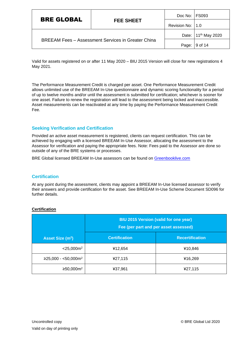|                                                           | <b>FEE SHEET</b> | Doc No: FS093    |                                 |
|-----------------------------------------------------------|------------------|------------------|---------------------------------|
| <b>BRE GLOBAL</b>                                         |                  | Revision No: 1.0 |                                 |
| <b>BREEAM Fees - Assessment Services in Greater China</b> |                  |                  | Date: 11 <sup>th</sup> May 2020 |
|                                                           |                  | Page:            | 9 of 14                         |

Valid for assets registered on or after 11 May 2020 – BIU 2015 Version will close for new registrations 4 May 2021.

The Performance Measurement Credit is charged per asset. One Performance Measurement Credit allows unlimited use of the BREEAM In-Use questionnaire and dynamic scoring functionality for a period of up to twelve months and/or until the assessment is submitted for certification; whichever is sooner for one asset. Failure to renew the registration will lead to the assessment being locked and inaccessible. Asset measurements can be reactivated at any time by paying the Performance Measurement Credit Fee.

# **Seeking Verification and Certification**

Provided an active asset measurement is registered, clients can request certification. This can be achieved by engaging with a licensed BREEAM In-Use Assessor, allocating the assessment to the Assessor for verification and paying the appropriate fees. Note: Fees paid to the Assessor are done so outside of any of the BRE systems or processes.

BRE Global licensed BREEAM In-Use assessors can be found on [Greenbooklive.com](http://www.greenbooklive.com/search/scheme.jsp?id=8)

# **Certification**

At any point during the assessment, clients may appoint a BREEAM In-Use licensed assessor to verify their answers and provide certification for the asset. See BREEAM In-Use Scheme Document SD096 for further details.

|                              | <b>BIU 2015 Version (valid for one year)</b><br>Fee (per part and per asset assessed) |                        |
|------------------------------|---------------------------------------------------------------------------------------|------------------------|
| Asset Size (m <sup>2</sup> ) | <b>Certification</b>                                                                  | <b>Recertification</b> |
| $<$ 25,000 $m2$              | ¥12,654                                                                               | ¥10,846                |
| $≥25,000 - <50,000m2$        | ¥27,115                                                                               | ¥16,269                |
| ≥50,000m <sup>2</sup>        | ¥37,961                                                                               | ¥27,115                |

#### **Certification**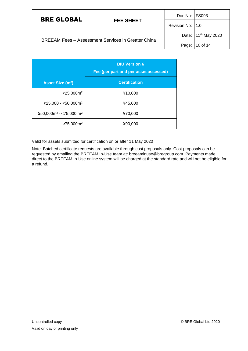|                                                           | <b>FEE SHEET</b> | Doc No: FS093      |                                 |
|-----------------------------------------------------------|------------------|--------------------|---------------------------------|
| <b>BRE GLOBAL</b>                                         |                  | Revision No:   1.0 |                                 |
| <b>BREEAM Fees - Assessment Services in Greater China</b> |                  |                    | Date: 11 <sup>th</sup> May 2020 |
|                                                           |                  | Page:              | 10 of 14                        |

|                              | <b>BIU Version 6</b><br>Fee (per part and per asset assessed) |
|------------------------------|---------------------------------------------------------------|
| Asset Size (m <sup>2</sup> ) | <b>Certification</b>                                          |
| $<$ 25,000 $m2$              | ¥10,000                                                       |
| $≥25,000 - <50,000m2$        | ¥45,000                                                       |
| $≥50,000m2 - <75,000 m2$     | ¥70,000                                                       |
| ≥75,000m <sup>2</sup>        | ¥90.000                                                       |

Valid for assets submitted for certification on or after 11 May 2020

Note: Batched certificate requests are available through cost proposals only. Cost proposals can be requested by emailing the BREEAM In-Use team at: breeaminuse@bregroup.com. Payments made direct to the BREEAM In-Use online system will be charged at the standard rate and will not be eligible for a refund.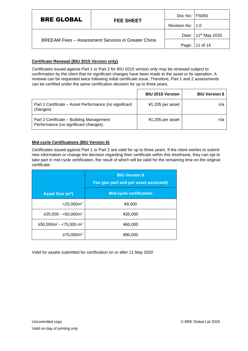| <b>BRE GLOBAL</b>                                         |                  | Doc No: FS093    |                                 |
|-----------------------------------------------------------|------------------|------------------|---------------------------------|
|                                                           | <b>FEE SHEET</b> | Revision No: 1.0 |                                 |
| <b>BREEAM Fees - Assessment Services in Greater China</b> |                  |                  | Date: 11 <sup>th</sup> May 2020 |
|                                                           |                  | Page:            | 11 of 14                        |

# **Certificate Renewal (BIU 2015 Version only)**

Certificates issued against Part 1 or Part 2 for BIU 2015 version only may be renewed subject to confirmation by the client that no significant changes have been made to the asset or its operation. A renewal can be requested twice following initial certificate issue. Therefore, Part 1 and 2 assessments can be certified under the same certification decision for up to three years.

|                                                                                  | <b>BIU 2015 Version</b> | <b>BIU Version 6</b> |
|----------------------------------------------------------------------------------|-------------------------|----------------------|
| Part 1 Certificate – Asset Performance (no significant<br>changes)               | ¥1,205 per asset        | n/a                  |
| Part 2 Certificate - Building Management<br>Performance (no significant changes) | ¥1,205 per asset        | n/a                  |

# **Mid-cycle Certifications (BIU Version 6)**

Certificates issued against Part 1 or Part 2 are valid for up to three years. If the client wishes to submit new information or change the decision regarding their certificate within this timeframe, they can opt to take part in mid cycle certification, the result of which will be valid for the remaining time on the original certificate.

|                                   | <b>BIU Version 6</b><br>Fee (per part and per asset assessed) |  |
|-----------------------------------|---------------------------------------------------------------|--|
| <b>Asset Size (m<sup>2</sup>)</b> | <b>Mid-cycle certification</b>                                |  |
| $<$ 25,000 $m2$                   | ¥9,000                                                        |  |
| $≥25,000 - <50,000m2$             | ¥35,000                                                       |  |
| $≥50,000m2 - <75,000 m2$          | ¥60,000                                                       |  |
| ≥75,000m <sup>2</sup>             | ¥80,000                                                       |  |

Valid for assets submitted for certification on or after 11 May 2020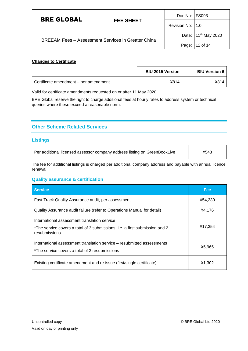| <b>BRE GLOBAL</b>                                         |                  | Doc No: FS093      |                                 |
|-----------------------------------------------------------|------------------|--------------------|---------------------------------|
|                                                           | <b>FEE SHEET</b> | Revision No:   1.0 |                                 |
| <b>BREEAM Fees - Assessment Services in Greater China</b> |                  |                    | Date: 11 <sup>th</sup> May 2020 |
|                                                           |                  | Page:              | 12 of 14                        |

#### **Changes to Certificate**

|                                       | <b>BIU 2015 Version</b> | <b>BIU Version 6</b> |
|---------------------------------------|-------------------------|----------------------|
| Certificate amendment – per amendment | ¥814                    | ¥814                 |

Valid for certificate amendments requested on or after 11 May 2020

BRE Global reserve the right to charge additional fees at hourly rates to address system or technical queries where these exceed a reasonable norm.

# <span id="page-12-0"></span>**Other Scheme Related Services**

#### **Listings**

 $\mathsf{r}$ 

| Per additional licensed assessor company address listing on GreenBookLive | ¥543 |
|---------------------------------------------------------------------------|------|
|---------------------------------------------------------------------------|------|

The fee for additional listings is charged per additional company address and payable with annual licence renewal.

#### **Quality assurance & certification**

| <b>Service</b>                                                                                                                               | Fee:    |
|----------------------------------------------------------------------------------------------------------------------------------------------|---------|
| Fast Track Quality Assurance audit, per assessment                                                                                           | ¥54,230 |
| Quality Assurance audit failure (refer to Operations Manual for detail)                                                                      | ¥4,176  |
| International assessment translation service<br>*The service covers a total of 3 submissions, i.e. a first submission and 2<br>resubmissions | ¥17,354 |
| International assessment translation service – resubmitted assessments<br>*The service covers a total of 3 resubmissions                     | ¥5,965  |
| Existing certificate amendment and re-issue (first/single certificate)                                                                       | ¥1,302  |